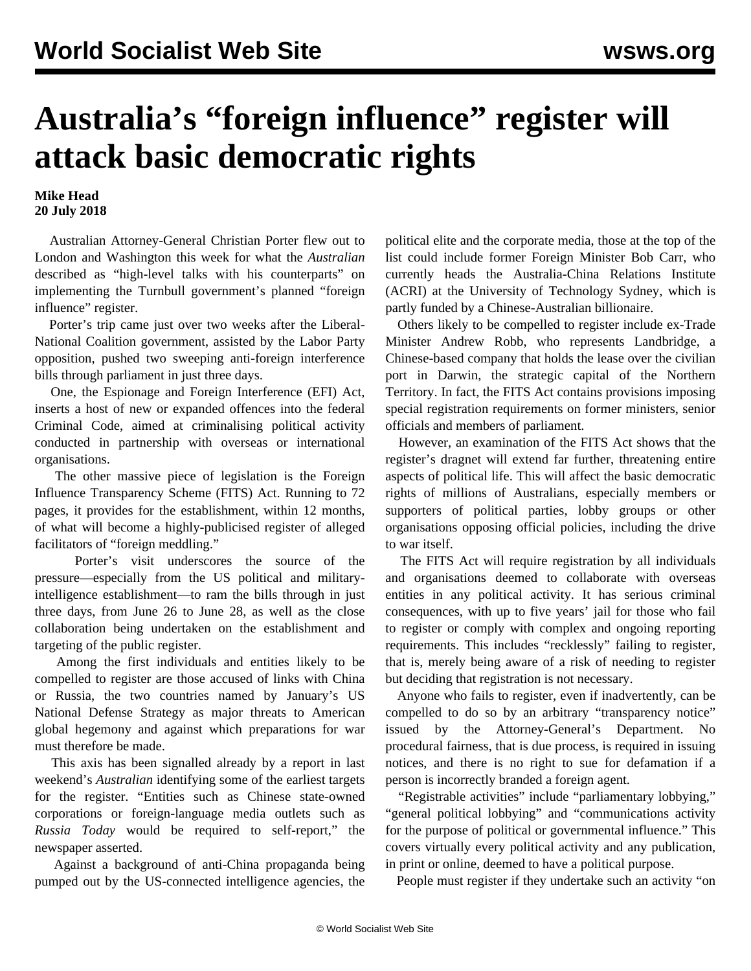## **Australia's "foreign influence" register will attack basic democratic rights**

**Mike Head 20 July 2018**

 Australian Attorney-General Christian Porter flew out to London and Washington this week for what the *Australian* described as "high-level talks with his counterparts" on implementing the Turnbull government's planned "foreign influence" register.

 Porter's trip came just over two weeks after the Liberal-National Coalition government, assisted by the Labor Party opposition, pushed two sweeping anti-foreign interference bills through parliament in just three days.

 One, the Espionage and Foreign Interference (EFI) Act, inserts a host of new or expanded offences into the federal Criminal Code, aimed at criminalising political activity conducted in partnership with overseas or international organisations.

 The other massive piece of legislation is the Foreign Influence Transparency Scheme (FITS) Act. Running to 72 pages, it provides for the establishment, within 12 months, of what will become a highly-publicised register of alleged facilitators of "foreign meddling."

 Porter's visit underscores the source of the pressure—especially from the US political and militaryintelligence establishment—to ram the bills through in just three days, from June 26 to June 28, as well as the close collaboration being undertaken on the establishment and targeting of the public register.

 Among the first individuals and entities likely to be compelled to register are those accused of links with China or Russia, the two countries named by January's US National Defense Strategy as major threats to American global hegemony and against which preparations for war must therefore be made.

 This axis has been signalled already by a report in last weekend's *Australian* identifying some of the earliest targets for the register. "Entities such as Chinese state-owned corporations or foreign-language media outlets such as *Russia Today* would be required to self-report," the newspaper asserted.

 Against a background of anti-China propaganda being pumped out by the US-connected intelligence agencies, the political elite and the corporate media, those at the top of the list could include former Foreign Minister Bob Carr, who currently heads the Australia-China Relations Institute (ACRI) at the University of Technology Sydney, which is partly funded by a Chinese-Australian billionaire.

 Others likely to be compelled to register include ex-Trade Minister Andrew Robb, who represents Landbridge, a Chinese-based company that holds the lease over the civilian port in Darwin, the strategic capital of the Northern Territory. In fact, the FITS Act contains provisions imposing special registration requirements on former ministers, senior officials and members of parliament.

 However, an examination of the FITS Act shows that the register's dragnet will extend far further, threatening entire aspects of political life. This will affect the basic democratic rights of millions of Australians, especially members or supporters of political parties, lobby groups or other organisations opposing official policies, including the drive to war itself.

 The FITS Act will require registration by all individuals and organisations deemed to collaborate with overseas entities in any political activity. It has serious criminal consequences, with up to five years' jail for those who fail to register or comply with complex and ongoing reporting requirements. This includes "recklessly" failing to register, that is, merely being aware of a risk of needing to register but deciding that registration is not necessary.

 Anyone who fails to register, even if inadvertently, can be compelled to do so by an arbitrary "transparency notice" issued by the Attorney-General's Department. No procedural fairness, that is due process, is required in issuing notices, and there is no right to sue for defamation if a person is incorrectly branded a foreign agent.

 "Registrable activities" include "parliamentary lobbying," "general political lobbying" and "communications activity for the purpose of political or governmental influence." This covers virtually every political activity and any publication, in print or online, deemed to have a political purpose.

People must register if they undertake such an activity "on